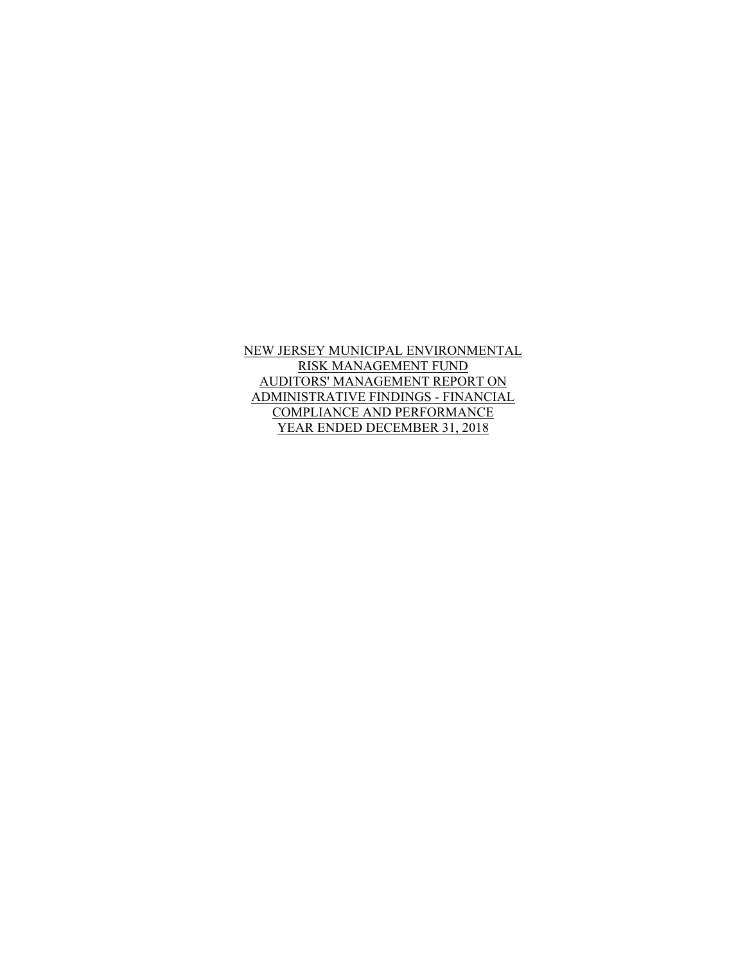NEW JERSEY MUNICIPAL ENVIRONMENTAL RISK MANAGEMENT FUND AUDITORS' MANAGEMENT REPORT ON ADMINISTRATIVE FINDINGS - FINANCIAL COMPLIANCE AND PERFORMANCE YEAR ENDED DECEMBER 31, 2018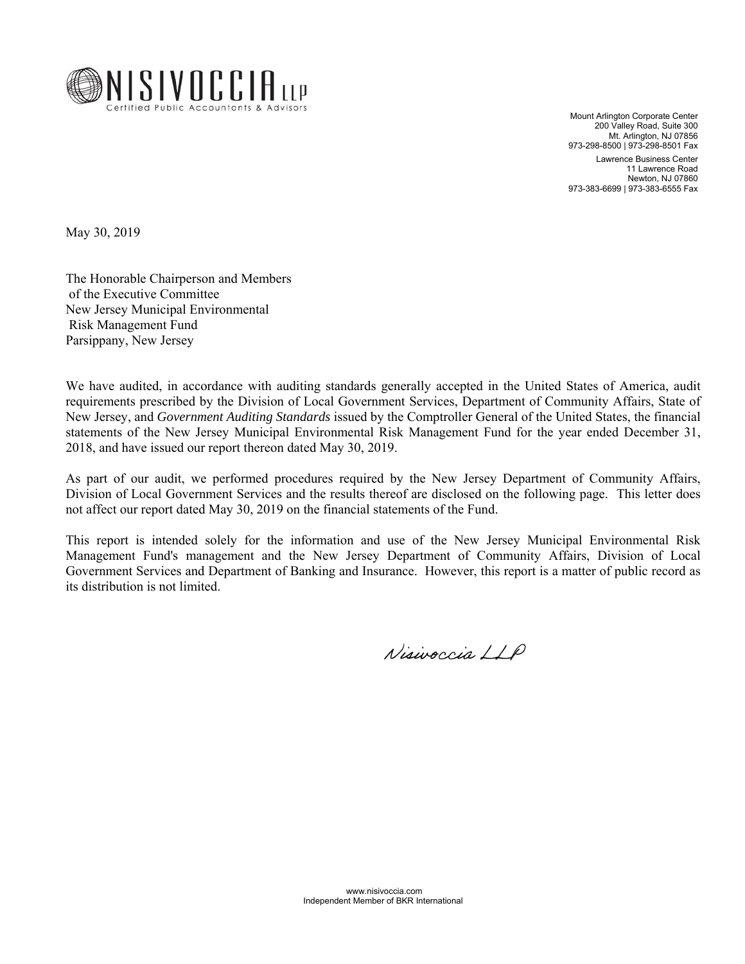

Mount Arlington Corporate Center 200 Valley Road, Suite 300 Mt. Arlington, NJ 07856 973-298-8500 | 973-298-8501 Fax

Lawrence Business Center 11 Lawrence Road Newton, NJ 07860 973-383-6699 | 973-383-6555 Fax

May 30, 2019

The Honorable Chairperson and Members of the Executive Committee New Jersey Municipal Environmental Risk Management Fund Parsippany, New Jersey

We have audited, in accordance with auditing standards generally accepted in the United States of America, audit requirements prescribed by the Division of Local Government Services, Department of Community Affairs, State of New Jersey, and *Government Auditing Standards* issued by the Comptroller General of the United States, the financial statements of the New Jersey Municipal Environmental Risk Management Fund for the year ended December 31, 2018, and have issued our report thereon dated May 30, 2019.

As part of our audit, we performed procedures required by the New Jersey Department of Community Affairs, Division of Local Government Services and the results thereof are disclosed on the following page. This letter does not affect our report dated May 30, 2019 on the financial statements of the Fund.

This report is intended solely for the information and use of the New Jersey Municipal Environmental Risk Management Fund's management and the New Jersey Department of Community Affairs, Division of Local Government Services and Department of Banking and Insurance. However, this report is a matter of public record as its distribution is not limited.

Nisivoccia LLP